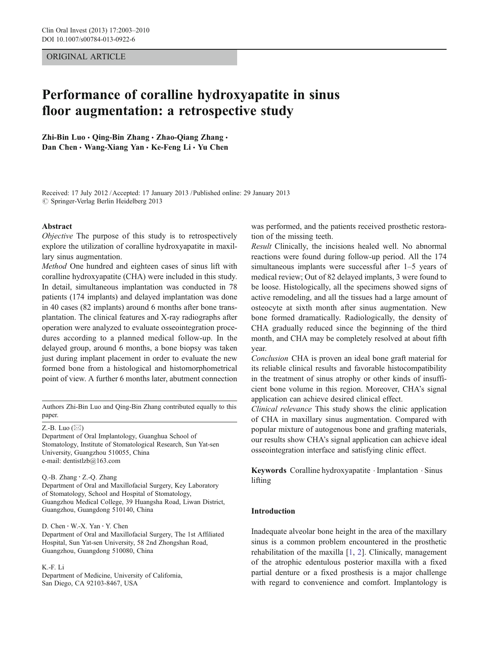## ORIGINAL ARTICLE

# Performance of coralline hydroxyapatite in sinus floor augmentation: a retrospective study

Zhi-Bin Luo · Qing-Bin Zhang · Zhao-Qiang Zhang · Dan Chen • Wang-Xiang Yan • Ke-Feng Li • Yu Chen

Received: 17 July 2012 /Accepted: 17 January 2013 / Published online: 29 January 2013  $\oslash$  Springer-Verlag Berlin Heidelberg 2013

#### Abstract

Objective The purpose of this study is to retrospectively explore the utilization of coralline hydroxyapatite in maxillary sinus augmentation.

Method One hundred and eighteen cases of sinus lift with coralline hydroxyapatite (CHA) were included in this study. In detail, simultaneous implantation was conducted in 78 patients (174 implants) and delayed implantation was done in 40 cases (82 implants) around 6 months after bone transplantation. The clinical features and X-ray radiographs after operation were analyzed to evaluate osseointegration procedures according to a planned medical follow-up. In the delayed group, around 6 months, a bone biopsy was taken just during implant placement in order to evaluate the new formed bone from a histological and histomorphometrical point of view. A further 6 months later, abutment connection

Authors Zhi-Bin Luo and Qing-Bin Zhang contributed equally to this paper.

Z.-B. Luo  $(\boxtimes)$ 

Department of Oral Implantology, Guanghua School of Stomatology, Institute of Stomatological Research, Sun Yat-sen University, Guangzhou 510055, China e-mail: dentistlzb@163.com

Q.-B. Zhang : Z.-Q. Zhang Department of Oral and Maxillofacial Surgery, Key Laboratory of Stomatology, School and Hospital of Stomatology, Guangzhou Medical College, 39 Huangsha Road, Liwan District, Guangzhou, Guangdong 510140, China

D. Chen : W.-X. Yan : Y. Chen Department of Oral and Maxillofacial Surgery, The 1st Affiliated Hospital, Sun Yat-sen University, 58 2nd Zhongshan Road, Guangzhou, Guangdong 510080, China

K.-F. Li

Department of Medicine, University of California, San Diego, CA 92103-8467, USA

was performed, and the patients received prosthetic restoration of the missing teeth.

Result Clinically, the incisions healed well. No abnormal reactions were found during follow-up period. All the 174 simultaneous implants were successful after 1–5 years of medical review; Out of 82 delayed implants, 3 were found to be loose. Histologically, all the specimens showed signs of active remodeling, and all the tissues had a large amount of osteocyte at sixth month after sinus augmentation. New bone formed dramatically. Radiologically, the density of CHA gradually reduced since the beginning of the third month, and CHA may be completely resolved at about fifth year.

Conclusion CHA is proven an ideal bone graft material for its reliable clinical results and favorable histocompatibility in the treatment of sinus atrophy or other kinds of insufficient bone volume in this region. Moreover, CHA's signal application can achieve desired clinical effect.

Clinical relevance This study shows the clinic application of CHA in maxillary sinus augmentation. Compared with popular mixture of autogenous bone and grafting materials, our results show CHA's signal application can achieve ideal osseointegration interface and satisfying clinic effect.

Keywords Coralline hydroxyapatite . Implantation . Sinus lifting

### Introduction

Inadequate alveolar bone height in the area of the maxillary sinus is a common problem encountered in the prosthetic rehabilitation of the maxilla [[1,](#page-6-0) [2\]](#page-6-0). Clinically, management of the atrophic edentulous posterior maxilla with a fixed partial denture or a fixed prosthesis is a major challenge with regard to convenience and comfort. Implantology is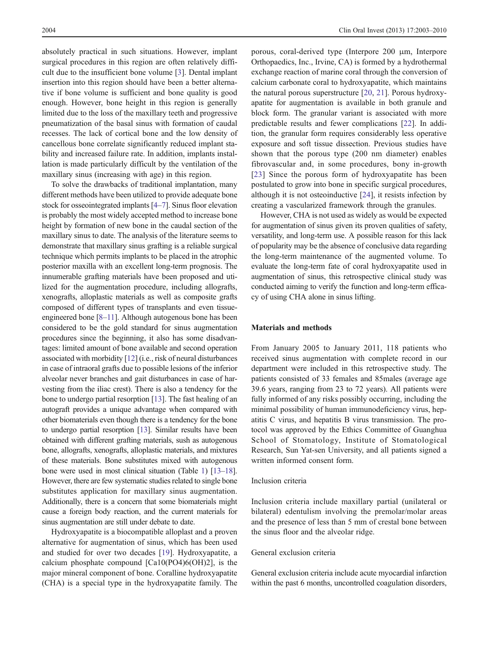absolutely practical in such situations. However, implant surgical procedures in this region are often relatively difficult due to the insufficient bone volume [\[3](#page-6-0)]. Dental implant insertion into this region should have been a better alternative if bone volume is sufficient and bone quality is good enough. However, bone height in this region is generally limited due to the loss of the maxillary teeth and progressive pneumatization of the basal sinus with formation of caudal recesses. The lack of cortical bone and the low density of cancellous bone correlate significantly reduced implant stability and increased failure rate. In addition, implants installation is made particularly difficult by the ventilation of the maxillary sinus (increasing with age) in this region.

To solve the drawbacks of traditional implantation, many different methods have been utilized to provide adequate bone stock for osseointegrated implants [\[4](#page-6-0)–[7\]](#page-6-0). Sinus floor elevation is probably the most widely accepted method to increase bone height by formation of new bone in the caudal section of the maxillary sinus to date. The analysis of the literature seems to demonstrate that maxillary sinus grafting is a reliable surgical technique which permits implants to be placed in the atrophic posterior maxilla with an excellent long-term prognosis. The innumerable grafting materials have been proposed and utilized for the augmentation procedure, including allografts, xenografts, alloplastic materials as well as composite grafts composed of different types of transplants and even tissueengineered bone [\[8](#page-6-0)–[11\]](#page-6-0). Although autogenous bone has been considered to be the gold standard for sinus augmentation procedures since the beginning, it also has some disadvantages: limited amount of bone available and second operation associated with morbidity [[12\]](#page-6-0) (i.e., risk of neural disturbances in case of intraoral grafts due to possible lesions of the inferior alveolar never branches and gait disturbances in case of harvesting from the iliac crest). There is also a tendency for the bone to undergo partial resorption [[13](#page-6-0)]. The fast healing of an autograft provides a unique advantage when compared with other biomaterials even though there is a tendency for the bone to undergo partial resorption [\[13\]](#page-6-0). Similar results have been obtained with different grafting materials, sush as autogenous bone, allografts, xenografts, alloplastic materials, and mixtures of these materials. Bone substitutes mixed with autogenous bone were used in most clinical situation (Table [1\)](#page-2-0) [[13](#page-6-0)–[18\]](#page-6-0). However, there are few systematic studies related to single bone substitutes application for maxillary sinus augmentation. Additionally, there is a concern that some biomaterials might cause a foreign body reaction, and the current materials for sinus augmentation are still under debate to date.

Hydroxyapatite is a biocompatible alloplast and a proven alternative for augmentation of sinus, which has been used and studied for over two decades [[19\]](#page-7-0). Hydroxyapatite, a calcium phosphate compound [Ca10(PO4)6(OH)2], is the major mineral component of bone. Coralline hydroxyapatite (CHA) is a special type in the hydroxyapatite family. The porous, coral-derived type (Interpore 200 μm, Interpore Orthopaedics, Inc., Irvine, CA) is formed by a hydrothermal exchange reaction of marine coral through the conversion of calcium carbonate coral to hydroxyapatite, which maintains the natural porous superstructure [\[20](#page-7-0), [21\]](#page-7-0). Porous hydroxyapatite for augmentation is available in both granule and block form. The granular variant is associated with more predictable results and fewer complications [[22\]](#page-7-0). In addition, the granular form requires considerably less operative exposure and soft tissue dissection. Previous studies have shown that the porous type (200 nm diameter) enables fibrovascular and, in some procedures, bony in-growth [\[23\]](#page-7-0) Since the porous form of hydroxyapatite has been postulated to grow into bone in specific surgical procedures, although it is not osteoinductive [[24\]](#page-7-0), it resists infection by creating a vascularized framework through the granules.

However, CHA is not used as widely as would be expected for augmentation of sinus given its proven qualities of safety, versatility, and long-term use. A possible reason for this lack of popularity may be the absence of conclusive data regarding the long-term maintenance of the augmented volume. To evaluate the long-term fate of coral hydroxyapatite used in augmentation of sinus, this retrospective clinical study was conducted aiming to verify the function and long-term efficacy of using CHA alone in sinus lifting.

## Materials and methods

From January 2005 to January 2011, 118 patients who received sinus augmentation with complete record in our department were included in this retrospective study. The patients consisted of 33 females and 85males (average age 39.6 years, ranging from 23 to 72 years). All patients were fully informed of any risks possibly occurring, including the minimal possibility of human immunodeficiency virus, hepatitis C virus, and hepatitis B virus transmission. The protocol was approved by the Ethics Committee of Guanghua School of Stomatology, Institute of Stomatological Research, Sun Yat-sen University, and all patients signed a written informed consent form.

#### Inclusion criteria

Inclusion criteria include maxillary partial (unilateral or bilateral) edentulism involving the premolar/molar areas and the presence of less than 5 mm of crestal bone between the sinus floor and the alveolar ridge.

## General exclusion criteria

General exclusion criteria include acute myocardial infarction within the past 6 months, uncontrolled coagulation disorders,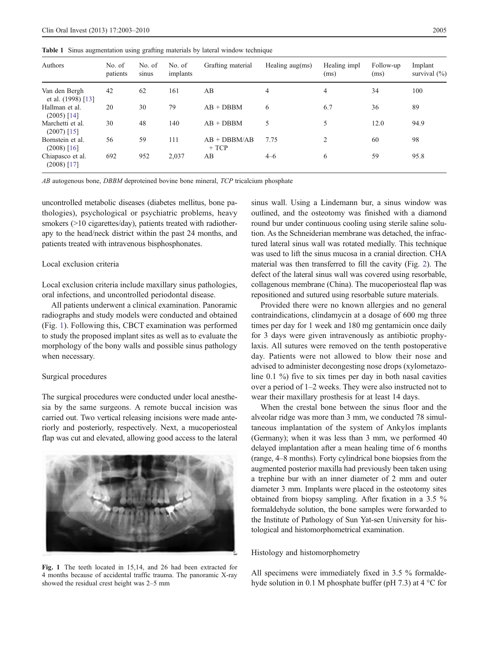<span id="page-2-0"></span>

|  | <b>Table 1</b> Sinus augmentation using grafting materials by lateral window technique |  |  |  |
|--|----------------------------------------------------------------------------------------|--|--|--|
|  |                                                                                        |  |  |  |

| Authors                               | No. of<br>patients | No. of<br>sinus | No. of<br>implants | Grafting material        | Healing $aug(ms)$ | Healing impl<br>(ms) | Follow-up<br>(ms) | Implant<br>survival $(\% )$ |
|---------------------------------------|--------------------|-----------------|--------------------|--------------------------|-------------------|----------------------|-------------------|-----------------------------|
| Van den Bergh<br>et al. $(1998)$ [13] | 42                 | 62              | 161                | AB                       | 4                 | 4                    | 34                | 100                         |
| Hallman et al.<br>$(2005)$ [14]       | 20                 | 30              | 79                 | $AB + DBBM$              | 6                 | 6.7                  | 36                | 89                          |
| Marchetti et al.<br>$(2007)$ [15]     | 30                 | 48              | 140                | $AB + DBBM$              | 5                 | 5                    | 12.0              | 94.9                        |
| Bornstein et al.<br>$(2008)$ [16]     | 56                 | 59              | 111                | $AB + DBBM/AB$<br>$+TCP$ | 7.75              | $\overline{2}$       | 60                | 98                          |
| Chiapasco et al.<br>$(2008)$ [17]     | 692                | 952             | 2,037              | AB                       | $4 - 6$           | 6                    | 59                | 95.8                        |

AB autogenous bone, DBBM deproteined bovine bone mineral, TCP tricalcium phosphate

uncontrolled metabolic diseases (diabetes mellitus, bone pathologies), psychological or psychiatric problems, heavy smokers (>10 cigarettes/day), patients treated with radiotherapy to the head/neck district within the past 24 months, and patients treated with intravenous bisphosphonates.

## Local exclusion criteria

Local exclusion criteria include maxillary sinus pathologies, oral infections, and uncontrolled periodontal disease.

All patients underwent a clinical examination. Panoramic radiographs and study models were conducted and obtained (Fig. 1). Following this, CBCT examination was performed to study the proposed implant sites as well as to evaluate the morphology of the bony walls and possible sinus pathology when necessary.

#### Surgical procedures

The surgical procedures were conducted under local anesthesia by the same surgeons. A remote buccal incision was carried out. Two vertical releasing incisions were made anteriorly and posteriorly, respectively. Next, a mucoperiosteal flap was cut and elevated, allowing good access to the lateral



Fig. 1 The teeth located in 15,14, and 26 had been extracted for 4 months because of accidental traffic trauma. The panoramic X-ray showed the residual crest height was 2–5 mm

sinus wall. Using a Lindemann bur, a sinus window was outlined, and the osteotomy was finished with a diamond round bur under continuous cooling using sterile saline solution. As the Schneiderian membrane was detached, the infractured lateral sinus wall was rotated medially. This technique was used to lift the sinus mucosa in a cranial direction. CHA material was then transferred to fill the cavity (Fig. [2\)](#page-3-0). The defect of the lateral sinus wall was covered using resorbable, collagenous membrane (China). The mucoperiosteal flap was repositioned and sutured using resorbable suture materials.

Provided there were no known allergies and no general contraindications, clindamycin at a dosage of 600 mg three times per day for 1 week and 180 mg gentamicin once daily for 3 days were given intravenously as antibiotic prophylaxis. All sutures were removed on the tenth postoperative day. Patients were not allowed to blow their nose and advised to administer decongesting nose drops (xylometazoline 0.1 %) five to six times per day in both nasal cavities over a period of 1–2 weeks. They were also instructed not to wear their maxillary prosthesis for at least 14 days.

When the crestal bone between the sinus floor and the alveolar ridge was more than 3 mm, we conducted 78 simultaneous implantation of the system of Ankylos implants (Germany); when it was less than 3 mm, we performed 40 delayed implantation after a mean healing time of 6 months (range, 4–8 months). Forty cylindrical bone biopsies from the augmented posterior maxilla had previously been taken using a trephine bur with an inner diameter of 2 mm and outer diameter 3 mm. Implants were placed in the osteotomy sites obtained from biopsy sampling. After fixation in a 3.5 % formaldehyde solution, the bone samples were forwarded to the Institute of Pathology of Sun Yat-sen University for histological and histomorphometrical examination.

#### Histology and histomorphometry

All specimens were immediately fixed in 3.5 % formaldehyde solution in 0.1 M phosphate buffer (pH 7.3) at 4 °C for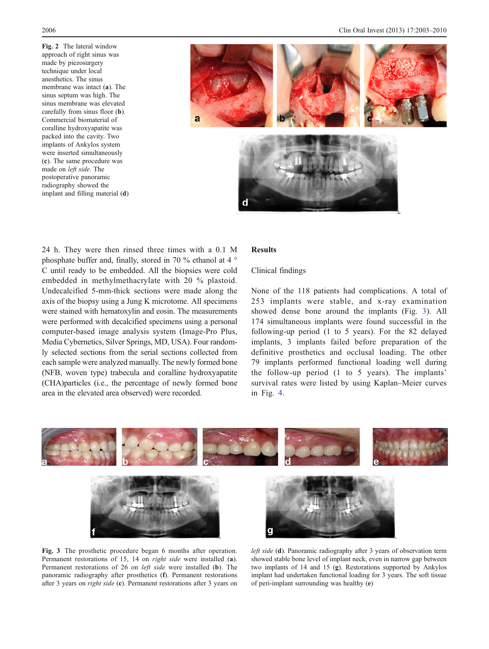<span id="page-3-0"></span>Fig. 2 The lateral window approach of right sinus was made by piezosurgery technique under local anesthetics. The sinus membrane was intact (a). The sinus septum was high. The sinus membrane was elevated carefully from sinus floor (b). Commercial biomaterial of coralline hydroxyapatite was packed into the cavity. Two implants of Ankylos system were inserted simultaneously (c). The same procedure was made on left side. The postoperative panoramic radiography showed the implant and filling material (d)



24 h. They were then rinsed three times with a 0.1 M phosphate buffer and, finally, stored in 70 % ethanol at 4 ° C until ready to be embedded. All the biopsies were cold embedded in methylmethacrylate with 20 % plastoid. Undecalcified 5-mm-thick sections were made along the axis of the biopsy using a Jung K microtome. All specimens were stained with hematoxylin and eosin. The measurements were performed with decalcified specimens using a personal computer-based image analysis system (Image-Pro Plus, Media Cybernetics, Silver Springs, MD, USA). Four randomly selected sections from the serial sections collected from each sample were analyzed manually. The newly formed bone (NFB, woven type) trabecula and coralline hydroxyapatite (CHA)particles (i.e., the percentage of newly formed bone area in the elevated area observed) were recorded.

### Results

#### Clinical findings

None of the 118 patients had complications. A total of 253 implants were stable, and x-ray examination showed dense bone around the implants (Fig. 3). All 174 simultaneous implants were found successful in the following-up period (1 to 5 years). For the 82 delayed implants, 3 implants failed before preparation of the definitive prosthetics and occlusal loading. The other 79 implants performed functional loading well during the follow-up period (1 to 5 years). The implants' survival rates were listed by using Kaplan–Meier curves in Fig. [4](#page-4-0).



Fig. 3 The prosthetic procedure began 6 months after operation. Permanent restorations of 15, 14 on right side were installed (a). Permanent restorations of 26 on left side were installed (b). The panoramic radiography after prosthetics (f). Permanent restorations after 3 years on right side (c). Permanent restorations after 3 years on

left side (d). Panoramic radiography after 3 years of observation term showed stable bone level of implant neck, even in narrow gap between two implants of 14 and 15 (g). Restorations supported by Ankylos implant had undertaken functional loading for 3 years. The soft tissue of peri-implant surrounding was healthy (e)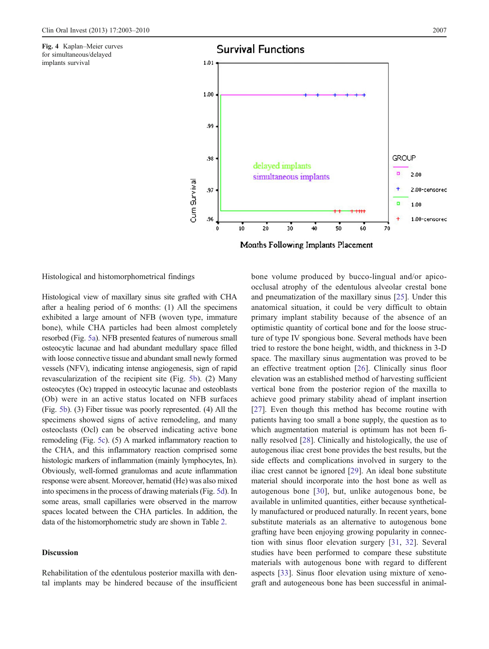<span id="page-4-0"></span>Fig. 4 Kaplan–Meier curves for simultaneous/delayed implants survival

#### **Survival Functions** 1.01 1.00  $.99$ .98 **GROUP** delayed implants ь  $2.00$ simultaneous implants Cum Survival  $\overline{\phantom{a}}$  $.97$ 2.00-censored o 1.00 .96 1.00-censored  $10$  $\overline{20}$  $\overline{30}$ ر.<br>40  $50$  $70$ ۶ò

Months Following Implants Placement

Histological and histomorphometrical findings

Histological view of maxillary sinus site grafted with CHA after a healing period of 6 months: (1) All the specimens exhibited a large amount of NFB (woven type, immature bone), while CHA particles had been almost completely resorbed (Fig. [5a](#page-5-0)). NFB presented features of numerous small osteocytic lacunae and had abundant medullary space filled with loose connective tissue and abundant small newly formed vessels (NFV), indicating intense angiogenesis, sign of rapid revascularization of the recipient site (Fig. [5b](#page-5-0)). (2) Many osteocytes (Oc) trapped in osteocytic lacunae and osteoblasts (Ob) were in an active status located on NFB surfaces (Fig. [5b](#page-5-0)). (3) Fiber tissue was poorly represented. (4) All the specimens showed signs of active remodeling, and many osteoclasts (Ocl) can be observed indicating active bone remodeling (Fig. [5c](#page-5-0)). (5) A marked inflammatory reaction to the CHA, and this inflammatory reaction comprised some histologic markers of inflammation (mainly lymphocytes, In). Obviously, well-formed granulomas and acute inflammation response were absent. Moreover, hematid (He) was also mixed into specimens in the process of drawing materials (Fig. [5d\)](#page-5-0). In some areas, small capillaries were observed in the marrow spaces located between the CHA particles. In addition, the data of the histomorphometric study are shown in Table [2](#page-5-0).

## Discussion

Rehabilitation of the edentulous posterior maxilla with dental implants may be hindered because of the insufficient bone volume produced by bucco-lingual and/or apicoocclusal atrophy of the edentulous alveolar crestal bone and pneumatization of the maxillary sinus [[25\]](#page-7-0). Under this anatomical situation, it could be very difficult to obtain primary implant stability because of the absence of an optimistic quantity of cortical bone and for the loose structure of type IV spongious bone. Several methods have been tried to restore the bone height, width, and thickness in 3-D space. The maxillary sinus augmentation was proved to be an effective treatment option [\[26](#page-7-0)]. Clinically sinus floor elevation was an established method of harvesting sufficient vertical bone from the posterior region of the maxilla to achieve good primary stability ahead of implant insertion [\[27](#page-7-0)]. Even though this method has become routine with patients having too small a bone supply, the question as to which augmentation material is optimum has not been finally resolved [[28](#page-7-0)]. Clinically and histologically, the use of autogenous iliac crest bone provides the best results, but the side effects and complications involved in surgery to the iliac crest cannot be ignored [\[29\]](#page-7-0). An ideal bone substitute material should incorporate into the host bone as well as autogenous bone [[30](#page-7-0)], but, unlike autogenous bone, be available in unlimited quantities, either because synthetically manufactured or produced naturally. In recent years, bone substitute materials as an alternative to autogenous bone grafting have been enjoying growing popularity in connection with sinus floor elevation surgery [[31,](#page-7-0) [32\]](#page-7-0). Several studies have been performed to compare these substitute materials with autogenous bone with regard to different aspects [[33\]](#page-7-0). Sinus floor elevation using mixture of xenograft and autogeneous bone has been successful in animal-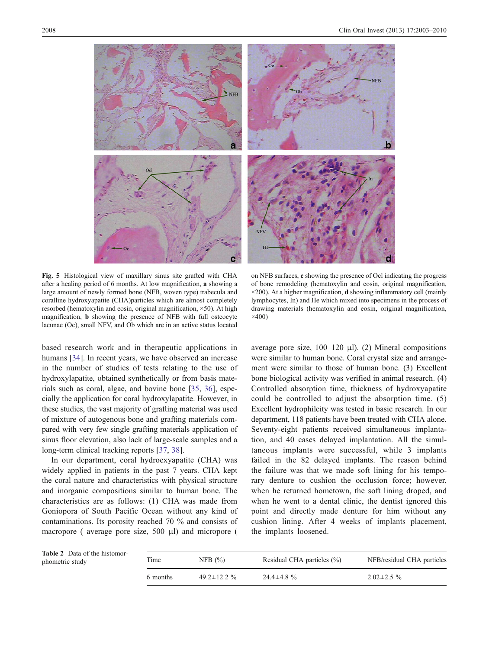<span id="page-5-0"></span>

Fig. 5 Histological view of maxillary sinus site grafted with CHA after a healing period of 6 months. At low magnification, a showing a large amount of newly formed bone (NFB, woven type) trabecula and coralline hydroxyapatite (CHA)particles which are almost completely resorbed (hematoxylin and eosin, original magnification, ×50). At high magnification, b showing the presence of NFB with full osteocyte lacunae (Oc), small NFV, and Ob which are in an active status located

based research work and in therapeutic applications in humans [[34\]](#page-7-0). In recent years, we have observed an increase in the number of studies of tests relating to the use of hydroxylapatite, obtained synthetically or from basis materials such as coral, algae, and bovine bone [[35,](#page-7-0) [36\]](#page-7-0), especially the application for coral hydroxylapatite. However, in these studies, the vast majority of grafting material was used of mixture of autogenous bone and grafting materials compared with very few single grafting materials application of sinus floor elevation, also lack of large-scale samples and a long-term clinical tracking reports [[37,](#page-7-0) [38](#page-7-0)].

In our department, coral hydroexyapatite (CHA) was widely applied in patients in the past 7 years. CHA kept the coral nature and characteristics with physical structure and inorganic compositions similar to human bone. The characteristics are as follows: (1) CHA was made from Goniopora of South Pacific Ocean without any kind of contaminations. Its porosity reached 70 % and consists of macropore ( average pore size, 500 μl) and micropore (

on NFB surfaces, c showing the presence of Ocl indicating the progress of bone remodeling (hematoxylin and eosin, original magnification,  $\times$ 200). At a higher magnification, **d** showing inflammatory cell (mainly lymphocytes, In) and He which mixed into specimens in the process of drawing materials (hematoxylin and eosin, original magnification,  $\times$ 400)

average pore size, 100–120 μl). (2) Mineral compositions were similar to human bone. Coral crystal size and arrangement were similar to those of human bone. (3) Excellent bone biological activity was verified in animal research. (4) Controlled absorption time, thickness of hydroxyapatite could be controlled to adjust the absorption time. (5) Excellent hydrophilcity was tested in basic research. In our department, 118 patients have been treated with CHA alone. Seventy-eight patients received simultaneous implantation, and 40 cases delayed implantation. All the simultaneous implants were successful, while 3 implants failed in the 82 delayed implants. The reason behind the failure was that we made soft lining for his temporary denture to cushion the occlusion force; however, when he returned hometown, the soft lining droped, and when he went to a dental clinic, the dentist ignored this point and directly made denture for him without any cushion lining. After 4 weeks of implants placement, the implants loosened.

| <b>Table 2</b> Data of the histomor-<br>phometric study | NFB $(%)$<br>Time |                   | Residual CHA particles $(\% )$ | NFB/residual CHA particles |  |
|---------------------------------------------------------|-------------------|-------------------|--------------------------------|----------------------------|--|
|                                                         | 6 months          | $49.2 \pm 12.2$ % | $24.4 \pm 4.8$ %               | $2.02 \pm 2.5$ %           |  |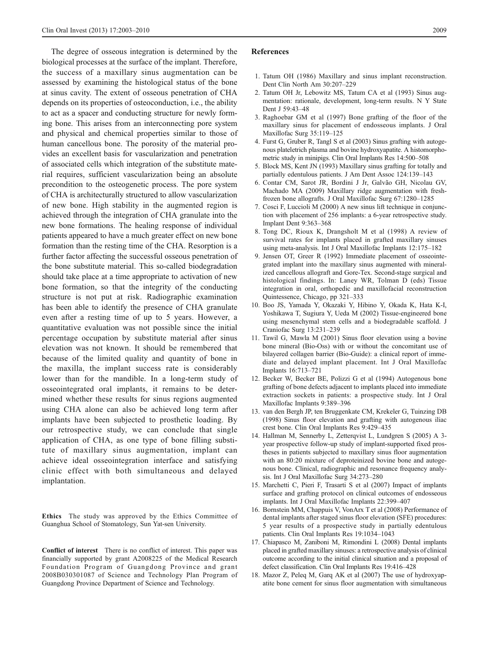<span id="page-6-0"></span>The degree of osseous integration is determined by the biological processes at the surface of the implant. Therefore, the success of a maxillary sinus augmentation can be assessed by examining the histological status of the bone at sinus cavity. The extent of osseous penetration of CHA depends on its properties of osteoconduction, i.e., the ability to act as a spacer and conducting structure for newly forming bone. This arises from an interconnecting pore system and physical and chemical properties similar to those of human cancellous bone. The porosity of the material provides an excellent basis for vascularization and penetration of associated cells which integration of the substitute material requires, sufficient vascularization being an absolute precondition to the osteogenetic process. The pore system of CHA is architecturally structured to allow vascularization of new bone. High stability in the augmented region is achieved through the integration of CHA granulate into the new bone formations. The healing response of individual patients appeared to have a much greater effect on new bone formation than the resting time of the CHA. Resorption is a further factor affecting the successful osseous penetration of the bone substitute material. This so-called biodegradation should take place at a time appropriate to activation of new bone formation, so that the integrity of the conducting structure is not put at risk. Radiographic examination has been able to identify the presence of CHA granulate even after a resting time of up to 5 years. However, a quantitative evaluation was not possible since the initial percentage occupation by substitute material after sinus elevation was not known. It should be remembered that because of the limited quality and quantity of bone in the maxilla, the implant success rate is considerably lower than for the mandible. In a long-term study of osseointegrated oral implants, it remains to be determined whether these results for sinus regions augmented using CHA alone can also be achieved long term after implants have been subjected to prosthetic loading. By our retrospective study, we can conclude that single application of CHA, as one type of bone filling substitute of maxillary sinus augmentation, implant can achieve ideal osseointegration interface and satisfying clinic effect with both simultaneous and delayed implantation.

Ethics The study was approved by the Ethics Committee of Guanghua School of Stomatology, Sun Yat-sen University.

Conflict of interest There is no conflict of interest. This paper was financially supported by grant A2008225 of the Medical Research Foundation Program of Guangdong Province and grant 2008B030301087 of Science and Technology Plan Program of Guangdong Province Department of Science and Technology.

#### References

- 2. Tatum OH Jr, Lebowitz MS, Tatum CA et al (1993) Sinus augmentation: rationale, development, long-term results. N Y State Dent J 59:43–48
- 3. Raghoebar GM et al (1997) Bone grafting of the floor of the maxillary sinus for placement of endosseous implants. J Oral Maxillofac Surg 35:119–125
- 4. Furst G, Gruber R, Tangl S et al (2003) Sinus grafting with autogenous plateletrich plasma and bovine hydroxyapatite. A histomorphometric study in minipigs. Clin Oral Implants Res 14:500–508
- 5. Block MS, Kent JN (1993) Maxillary sinus grafting for totally and partially edentulous patients. J Am Dent Assoc 124:139–143
- 6. Contar CM, Sarot JR, Bordini J Jr, Galvão GH, Nicolau GV, Machado MA (2009) Maxillary ridge augmentation with freshfrozen bone allografts. J Oral Maxillofac Surg 67:1280–1285
- 7. Cosci F, Luccioli M (2000) A new sinus lift technique in conjunction with placement of 256 implants: a 6-year retrospective study. Implant Dent 9:363–368
- 8. Tong DC, Rioux K, Drangsholt M et al (1998) A review of survival rates for implants placed in grafted maxillary sinuses using meta-analysis. Int J Oral Maxillofac Implants 12:175–182
- 9. Jensen OT, Greer R (1992) Immediate placement of osseointegrated implant into the maxillary sinus augmented with mineralized cancellous allograft and Gore-Tex. Second-stage surgical and histological findings. In: Laney WR, Tolman D (eds) Tissue integration in oral, orthopedic and maxillofacial reconstruction Quintessence, Chicago, pp 321–333
- 10. Boo JS, Yamada Y, Okazaki Y, Hibino Y, Okada K, Hata K-I, Yoshikawa T, Sugiura Y, Ueda M (2002) Tissue-engineered bone using mesenchymal stem cells and a biodegradable scaffold. J Craniofac Surg 13:231–239
- 11. Tawil G, Mawla M (2001) Sinus floor elevation using a bovine bone mineral (Bio-Oss) with or without the concomitant use of bilayered collagen barrier (Bio-Guide): a clinical report of immediate and delayed implant placement. Int J Oral Maxillofac Implants 16:713–721
- 12. Becker W, Becker BE, Polizzi G et al (1994) Autogenous bone grafting of bone defects adjacent to implants placed into immediate extraction sockets in patients: a prospective study. Int J Oral Maxillofac Implants 9:389–396
- 13. van den Bergh JP, ten Bruggenkate CM, Krekeler G, Tuinzing DB (1998) Sinus floor elevation and grafting with autogenous iliac crest bone. Clin Oral Implants Res 9:429–435
- 14. Hallman M, Sennerby L, Zetterqvist L, Lundgren S (2005) A 3 year prospective follow-up study of implant-supported fixed prostheses in patients subjected to maxillary sinus floor augmentation with an 80:20 mixture of deproteinized bovine bone and autogenous bone. Clinical, radiographic and resonance frequency analysis. Int J Oral Maxillofac Surg 34:273–280
- 15. Marchetti C, Pieri F, Trasarti S et al (2007) Impact of implants surface and grafting protocol on clinical outcomes of endosseous implants. Int J Oral Maxillofac Implants 22:399–407
- 16. Bornstein MM, Chappuis V, VonArx T et al (2008) Performance of dental implants after staged sinus floor elevation (SFE) procedures: 5 year results of a prospective study in partially edentulous patients. Clin Oral Implants Res 19:1034–1043
- 17. Chiapasco M, Zaniboni M, Rimondini L (2008) Dental implants placed in grafted maxillary sinuses: a retrospective analysis of clinical outcome according to the initial clinical situation and a proposal of defect classification. Clin Oral Implants Res 19:416–428
- 18. Mazor Z, Peleq M, Garq AK et al (2007) The use of hydroxyapatite bone cement for sinus floor augmentation with simultaneous